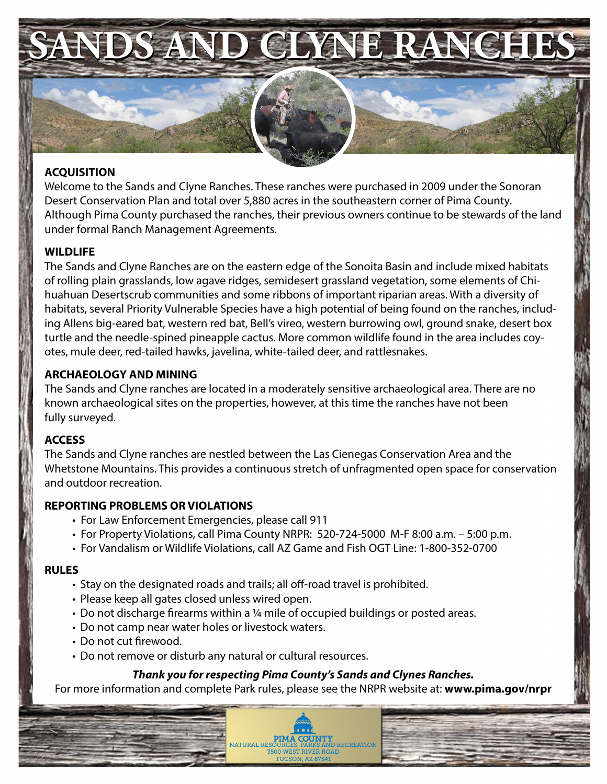

# **ACQUISITION**

Welcome to the Sands and Clyne Ranches. These ranches were purchased in 2009 under the Sonoran Desert Conservation Plan and total over 5,880 acres in the southeastern corner of Pima County. Although Pima County purchased the ranches, their previous owners continue to be stewards of the land under formal Ranch Management Agreements.

## **WILDLIFE**

The Sands and Clyne Ranches are on the eastern edge of the Sonoita Basin and include mixed habitats of rolling plain grasslands, low agave ridges, semidesert grassland vegetation, some elements of Chihuahuan Desertscrub communities and some ribbons of important riparian areas. With a diversity of habitats, several Priority Vulnerable Species have a high potential of being found on the ranches, including Allens big-eared bat, western red bat, Bell's vireo, western burrowing owl, ground snake, desert box turtle and the needle-spined pineapple cactus. More common wildlife found in the area includes coyotes, mule deer, red-tailed hawks, javelina, white-tailed deer, and rattlesnakes.

## **ARCHAEOLOGY AND MINING**

The Sands and Clyne ranches are located in a moderately sensitive archaeological area. There are no known archaeological sites on the properties, however, at this time the ranches have not been fully surveyed.

#### **ACCESS**

The Sands and Clyne ranches are nestled between the Las Cienegas Conservation Area and the Whetstone Mountains. This provides a continuous stretch of unfragmented open space for conservation and outdoor recreation.

#### **REPORTING PROBLEMS OR VIOLATIONS**

- For Law Enforcement Emergencies, please call 911
- For Property Violations, call Pima County NRPR: 520-724-5000 M-F 8:00 a.m. 5:00 p.m.
- For Vandalism or Wildlife Violations, call AZ Game and Fish OGT Line: 1-800-352-0700

#### **RULES**

- Stay on the designated roads and trails; all off-road travel is prohibited.
- Please keep all gates closed unless wired open.
- Do not discharge firearms within a ¼ mile of occupied buildings or posted areas.
- Do not camp near water holes or livestock waters.
- Do not cut firewood.
- Do not remove or disturb any natural or cultural resources.

# *Thank you for respecting Pima County's Sands and Clynes Ranches.*

For more information and complete Park rules, please see the NRPR website at: **www.pima.gov/nrpr**

**PIMA COUNTY**<br>NATURAL RESOURCES, PARKS AND RECREATION **3500 WEST RIVER ROAL** TUCSON, AZ 87541